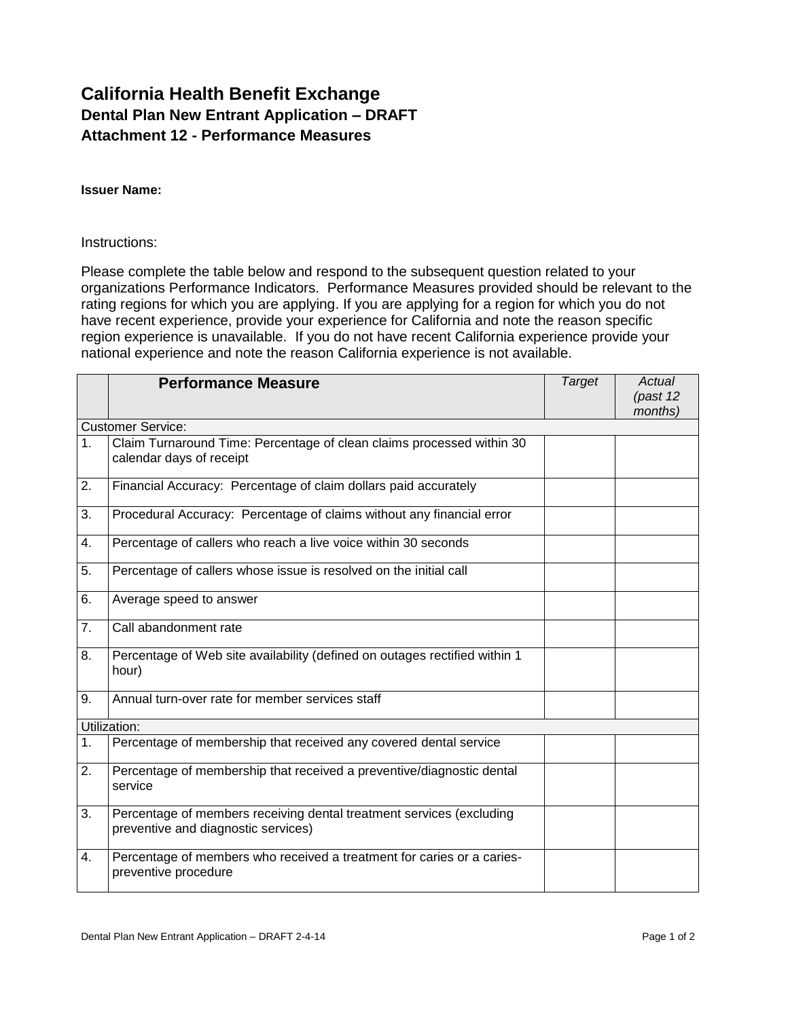## **California Health Benefit Exchange Dental Plan New Entrant Application – DRAFT Attachment 12 - Performance Measures**

#### **Issuer Name:**

### Instructions:

Please complete the table below and respond to the subsequent question related to your organizations Performance Indicators. Performance Measures provided should be relevant to the rating regions for which you are applying. If you are applying for a region for which you do not have recent experience, provide your experience for California and note the reason specific region experience is unavailable. If you do not have recent California experience provide your national experience and note the reason California experience is not available.

|                          | <b>Performance Measure</b>                                                                                  | <b>Target</b> | Actual<br>(past 12<br>months) |  |  |
|--------------------------|-------------------------------------------------------------------------------------------------------------|---------------|-------------------------------|--|--|
| <b>Customer Service:</b> |                                                                                                             |               |                               |  |  |
| 1.                       | Claim Turnaround Time: Percentage of clean claims processed within 30<br>calendar days of receipt           |               |                               |  |  |
| 2.                       | Financial Accuracy: Percentage of claim dollars paid accurately                                             |               |                               |  |  |
| 3.                       | Procedural Accuracy: Percentage of claims without any financial error                                       |               |                               |  |  |
| 4.                       | Percentage of callers who reach a live voice within 30 seconds                                              |               |                               |  |  |
| 5.                       | Percentage of callers whose issue is resolved on the initial call                                           |               |                               |  |  |
| 6.                       | Average speed to answer                                                                                     |               |                               |  |  |
| 7.                       | Call abandonment rate                                                                                       |               |                               |  |  |
| 8.                       | Percentage of Web site availability (defined on outages rectified within 1<br>hour)                         |               |                               |  |  |
| 9.                       | Annual turn-over rate for member services staff                                                             |               |                               |  |  |
| Utilization:             |                                                                                                             |               |                               |  |  |
| 1 <sub>1</sub>           | Percentage of membership that received any covered dental service                                           |               |                               |  |  |
| 2.                       | Percentage of membership that received a preventive/diagnostic dental<br>service                            |               |                               |  |  |
| 3.                       | Percentage of members receiving dental treatment services (excluding<br>preventive and diagnostic services) |               |                               |  |  |
| 4.                       | Percentage of members who received a treatment for caries or a caries-<br>preventive procedure              |               |                               |  |  |